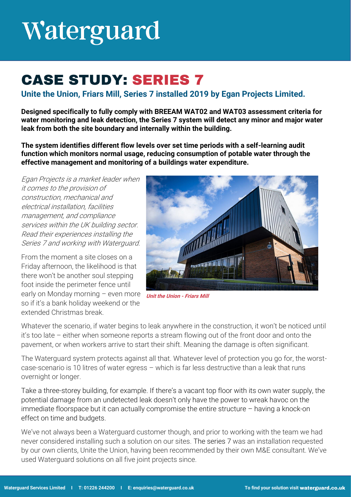## Waterguard

### **CASE STUDY: SERIES 7**

**Unite the Union, Friars Mill, Series 7 installed 2019 by Egan Projects Limited.** 

**Designed specifically to fully comply with BREEAM WAT02 and WAT03 assessment criteria for water monitoring and leak detection, the Series 7 system will detect any minor and major water leak from both the site boundary and internally within the building.** 

**The system identifies different flow levels over set time periods with a self-learning audit function which monitors normal usage, reducing consumption of potable water through the effective management and monitoring of a buildings water expenditure.** 

Egan Projects is a market leader when it comes to the provision of construction, mechanical and electrical installation, facilities management, and compliance services within the UK building sector. Read their experiences installing the Series 7 and working with Waterguard.

From the moment a site closes on a Friday afternoon, the likelihood is that there won't be another soul stepping foot inside the perimeter fence until early on Monday morning – even more so if it's a bank holiday weekend or the extended Christmas break.



**Unit the Union - Friars Mill**

Whatever the scenario, if water begins to leak anywhere in the construction, it won't be noticed until it's too late – either when someone reports a stream flowing out of the front door and onto the pavement, or when workers arrive to start their shift. Meaning the damage is often significant.

The Waterguard system protects against all that. Whatever level of protection you go for, the worstcase-scenario is 10 litres of water egress – which is far less destructive than a leak that runs overnight or longer.

Take a three-storey building, for example. If there's a vacant top floor with its own water supply, the potential damage from an undetected leak doesn't only have the power to wreak havoc on the immediate floorspace but it can actually compromise the entire structure – having a knock-on effect on time and budgets.

We've not always been a Waterguard customer though, and prior to working with the team we had never considered installing such a solution on our sites. The series 7 was an installation requested by our own clients, Unite the Union, having been recommended by their own M&E consultant. We've used Waterguard solutions on all five joint projects since.